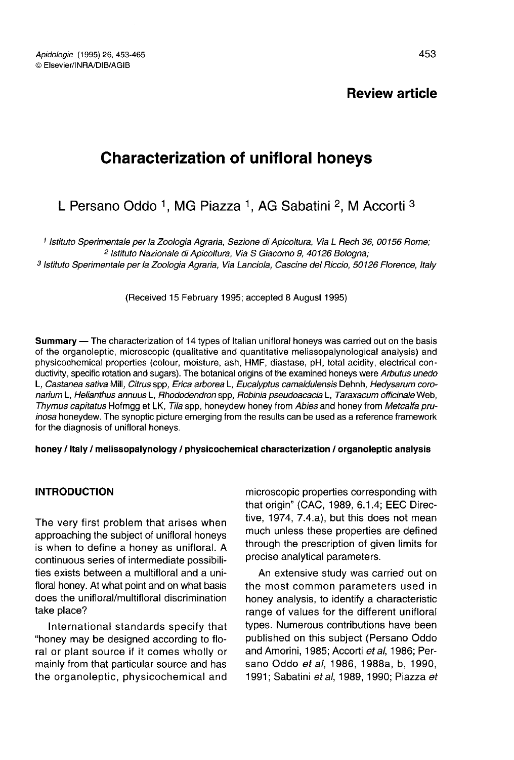Apidologie (1995) 26, 453-465 © Elsevier/INRA/DIB/AGIB

Review article

# Characterization of unifloral honeys

# L Persano Oddo <sup>1</sup>, MG Piazza <sup>1</sup>, AG Sabatini <sup>2</sup>, M Accorti <sup>3</sup>

1 Istituto Sperimentale per la Zoologia Agraria, Sezione di Apicoltura, Via L Rech 36, 00156 Rome; <sup>3</sup> Istituto Sperimentale per la Zoologia Agraria, Via Lanciola, Cascine del Riccio, 50126 Florence, Italy

(Received 15 February 1995; accepted 8 August 1995)

Summary — The characterization of 14 types of Italian unifloral honeys was carried out on the basis of the organoleptic, microscopic (qualitative and quantitative melissopalynological analysis) and physicochemical properties (colour, moisture, ash, HMF, diastase, pH, total acidity, electrical conductivity, specific rotation and sugars). The botanical origins of the examined honeys were Arbutus unedo L, Castanea sativa Mill, Citrus spp, Erica arborea L, Eucalyptus camaldulensis Dehnh, Hedysarum coronarium L, Helianthus annuus L, Rhododendron spp, Robinia pseudoacacia L, Taraxacum officinale Web, Thymus capitatus Hofmgg et LK, Tila spp, honeydew honey from Abies and honey from Metcalfa pruinosa honeydew. The synoptic picture emerging from the results can be used as a reference framework for the diagnosis of unifloral honeys.

honey / Italy / melissopalynology / physicochemical characterization / organoleptic analysis

#### INTRODUCTION

The very first problem that arises when approaching the subject of unifloral honeys is when to define a honey as unifloral. A continuous series of intermediate possibilities exists between a multifloral and a unifloral honey. At what point and on what basis does the unifloral/multifloral discrimination take place?

International standards specify that "honey may be designed according to floral or plant source if it comes wholly or mainly from that particular source and has the organoleptic, physicochemical and microscopic properties corresponding with that origin" (CAC, 1989, 6.1.4; EEC Directive, 1974, 7.4.a), but this does not mean much unless these properties are defined through the prescription of given limits for precise analytical parameters.

An extensive study was carried out on the most common parameters used in honey analysis, to identify a characteristic range of values for the different unifloral types. Numerous contributions have been published on this subject (Persano Oddo and Amorini, 1985; Accorti et al, 1986; Persano Oddo et al, 1986, 1988a, b, 1990, 1991; Sabatini et al, 1989, 1990; Piazza et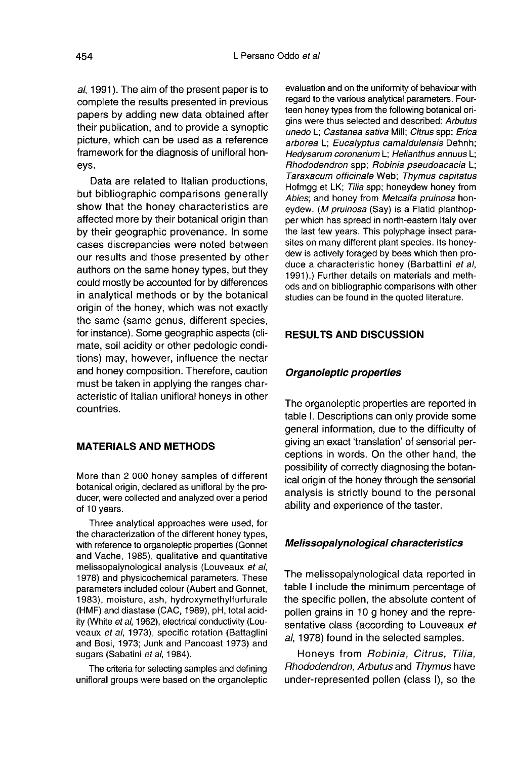al, 1991). The aim of the present paper is to complete the results presented in previous papers by adding new data obtained after their publication, and to provide a synoptic picture, which can be used as a reference framework for the diagnosis of unifloral honeys.

Data are related to Italian productions, but bibliographic comparisons generally show that the honey characteristics are affected more by their botanical origin than by their geographic provenance. In some cases discrepancies were noted between our results and those presented by other authors on the same honey types, but they could mostly be accounted for by differences in analytical methods or by the botanical origin of the honey, which was not exactly the same (same genus, different species, for instance). Some geographic aspects (climate, soil acidity or other pedologic conditions) may, however, influence the nectar and honey composition. Therefore, caution must be taken in applying the ranges characteristic of Italian unifloral honeys in other countries.

### MATERIALS AND METHODS

More than 2 000 honey samples of different botanical origin, declared as unifloral by the producer, were collected and analyzed over a period of 10 years.

Three analytical approaches were used, for the characterization of the different honey types, with reference to organoleptic properties (Gonnet and Vache, 1985), qualitative and quantitative melissopalynological analysis (Louveaux et al, 1978) and physicochemical parameters. These parameters included colour (Aubert and Gonnet, 1983), moisture, ash, hydroxymethylfurfurale (HMF) and diastase (CAC, 1989), pH, total acidity (White et al, 1962), electrical conductivity (Louveaux et al, 1973), specific rotation (Battaglini and Bosi, 1973; Junk and Pancoast 1973) and sugars (Sabatini et al, 1984).

The criteria for selecting samples and defining unifloral groups were based on the organoleptic evaluation and on the uniformity of behaviour with regard to the various analytical parameters. Fourteen honey types from the following botanical origins were thus selected and described: Arbutus unedo L; Castanea sativa Mill; Citrus spp; Erica arborea L; Eucalyptus camaldulensis Dehnh; Hedysarum coronarium L; Helianthus annuus L; Rhododendron spp; Robinia pseudoacacia L; Taraxacum officinale Web; Thymus capitatus Hofmgg et LK; Tilia spp; honeydew honey from Abies; and honey from Metcalfa pruinosa honeydew. (M pruinosa (Say) is a Flatid planthopper which has spread in north-eastern Italy over the last few years. This polyphage insect parasites on many different plant species. Its honeydew is actively foraged by bees which then produce a characteristic honey (Barbattini et al, 1991).) Further details on materials and methods and on bibliographic comparisons with other studies can be found in the quoted literature.

### RESULTS AND DISCUSSION

#### Organoleptic properties

The organoleptic properties are reported in table I. Descriptions can only provide some general information, due to the difficulty of giving an exact 'translation' of sensorial perceptions in words. On the other hand, the possibility of correctly diagnosing the botanical origin of the honey through the sensorial analysis is strictly bound to the personal ability and experience of the taster.

#### Melissopalynological characteristics

The melissopalynological data reported in table I include the minimum percentage of the specific pollen, the absolute content of pollen grains in 10 g honey and the representative class (according to Louveaux et al, 1978) found in the selected samples.

Honeys from Robinia, Citrus, Tilia, Rhododendron, Arbutus and Thymus have under-represented pollen (class I), so the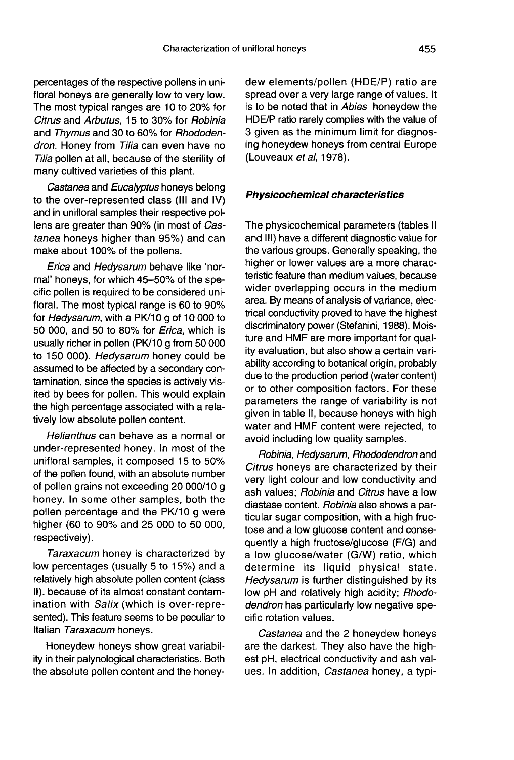percentages of the respective pollens in unifloral honeys are generally low to very low. The most typical ranges are 10 to 20% for Citrus and Arbutus, 15 to 30% for Robinia and Thymus and 30 to 60% for Rhododendron. Honey from Tilia can even have no Tilia pollen at all, because of the sterility of many cultived varieties of this plant.

Castanea and Eucalyptus honeys belong to the over-represented class (III and IV) and in unifloral samples their respective pollens are greater than 90% (in most of Castanea honeys higher than 95%) and can make about 100% of the pollens.

Erica and Hedysarum behave like 'normal' honeys, for which 45-50% of the specific pollen is required to be considered unifloral. The most typical range is 60 to 90% for Hedysarum, with a PK/10 g of 10 000 to 50 000, and 50 to 80% for Erica, which is usually richer in pollen (PK/10 g from 50 000 to 150 000). Hedysarum honey could be assumed to be affected by a secondary contamination, since the species is actively visited by bees for pollen. This would explain the high percentage associated with a relatively low absolute pollen content.

Helianthus can behave as a normal or under-represented honey. In most of the unifloral samples, it composed 15 to 50% of the pollen found, with an absolute number of pollen grains not exceeding 20 000/10 g honey. In some other samples, both the pollen percentage and the PK/10 g were higher (60 to 90% and 25 000 to 50 000, respectively).

Taraxacum honey is characterized by low percentages (usually 5 to 15%) and a relatively high absolute pollen content (class II), because of its almost constant contamination with Salix (which is over-represented). This feature seems to be peculiar to Italian Taraxacum honeys.

Honeydew honeys show great variability in their palynological characteristics. Both the absolute pollen content and the honeydew elements/pollen (HDE/P) ratio are spread over a very large range of values. It is to be noted that in Abies honeydew the HDE/P ratio rarely complies with the value of 3 given as the minimum limit for diagnosing honeydew honeys from central Europe (Louveaux et al, 1978).

#### Physicochemical characteristics

The physicochemical parameters (tables II and III) have a different diagnostic value for the various groups. Generally speaking, the higher or lower values are a more characteristic feature than medium values, because wider overlapping occurs in the medium area. By means of analysis of variance, electrical conductivity proved to have the highest discriminatory power (Stefanini, 1988). Moisture and HMF are more important for quality evaluation, but also show a certain variability according to botanical origin, probably due to the production period (water content) or to other composition factors. For these parameters the range of variability is not given in table II, because honeys with high water and HMF content were rejected, to avoid including low quality samples.

Robinia, Hedysarum, Rhododendron and Citrus honeys are characterized by their very light colour and low conductivity and ash values; Robinia and Citrus have a low diastase content. Robinia also shows a particular sugar composition, with a high fructose and a low glucose content and consequently a high fructose/glucose (F/G) and a low glucose/water (G/W) ratio, which determine its liquid physical state. Hedysarum is further distinguished by its low pH and relatively high acidity; Rhododendron has particularly low negative specific rotation values.

Castanea and the 2 honeydew honeys are the darkest. They also have the highest pH, electrical conductivity and ash values. In addition, Castanea honey, a typi-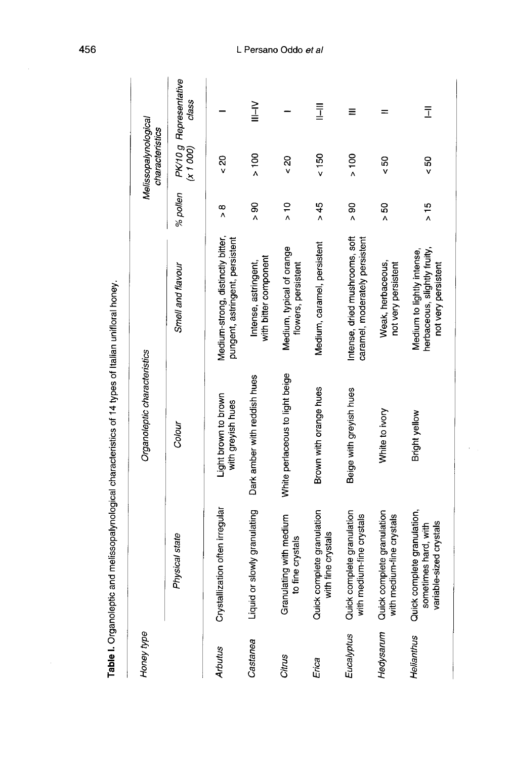| ì<br>֧֖֧֢ׅ֧֧֧֧֧֧֧֧֧֧֧֧֧֧֚֚֚֚֚֚֚֚֚֚֚֚֚֚֚֚֚֚֝֝֓֝֬֝֬֝֬֝֬֝֬֓֬֓֬֓<br>֧֜֜ <b>֓</b> ֖֧֚֚֓֬֘<br>į<br>$\ddot{\phantom{a}}$<br><b>September</b><br>i<br>֪֪֦֧֦֧֦֧֦֧֦֧֧֦֧֧֧֧֦֧֞֟֟֟֟֟֟֟֟֟֝֝֝֝֬֝֝֬֝֬֝֬֝<br>֧֪֪֪֪֪֪֝ <b>֓</b><br>こうさい<br>ļ<br>֧֢ׅ֧֧֧֦֧֧֦֧֧֦֧֧֦֧֧֧֧֧֪֪֪֧֦֧֚֚֚֚֚֚֚֚֚֚֚֚֚֚֚֚֡֕֡֡֓֓֓֡֓֡֓֡֡֬֓֝֓֓֓֓֓֓֓֜<br>ļ<br>i<br>ا<br>آ |   |
|------------------------------------------------------------------------------------------------------------------------------------------------------------------------------------------------------------------------------------------------------------------------------------------------------------------------|---|
| i<br>C<br>l<br>;<br>Ċ<br>֖֖֖֖֪ׅ֪ׅ֖֖֪ׅ֪ׅ֪ׅ֖ׅ֪ׅ֪֪֪ׅ֖֧֚֚֚֚֚֚֚֚֚֚֚֚֚֚֬֓֓֝֬                                                                                                                                                                                                                                                 | I |

| Honey type |                                                                                | Organoleptic characteristics              |                                                                                   |                | Melissopalynological<br>characteristics |                                 |
|------------|--------------------------------------------------------------------------------|-------------------------------------------|-----------------------------------------------------------------------------------|----------------|-----------------------------------------|---------------------------------|
|            | Physical state                                                                 | Colour                                    | Smell and flavour                                                                 | % pollen       | (x 1 000)                               | PK/10 g Representative<br>class |
| Arbutus    | Crystallization often irregular                                                | Light brown to brown<br>with greyish hues | Medium-strong, distinctly bitter,<br>pungent, astringent, persistent              | $\frac{8}{1}$  | $\frac{20}{5}$                          |                                 |
| Castanea   | Liquid or slowly granulating                                                   | Dark amber with reddish hues              | with bitter component<br>Intense, astringent,                                     | $\frac{8}{1}$  | $\frac{100}{100}$                       | $\geq$<br>$\equiv$              |
| Citrus     | Granulating with medium<br>to fine crystals                                    | White perlaceous to light beige           | Medium, typical of orange<br>flowers, persistent                                  | $\frac{1}{2}$  | $\frac{20}{5}$                          |                                 |
| Erica      | Quick complete granulation<br>with fine crystals                               | Brown with orange hues                    | Medium, caramel, persistent                                                       | >45            | $\frac{150}{50}$                        | $\bar{1}$                       |
| Eucalyptus | Quick complete granulation<br>with medium-fine crystals                        | Beige with greyish hues                   | Intense, dried mushrooms, soft<br>caramel, moderately persistent                  | $\frac{8}{4}$  | $\frac{8}{100}$                         | Ξ                               |
| Hedysarum  | Quick complete granulation<br>with medium-fine crystals                        | White to ivory                            | Weak, herbaceous,<br>not very persistent                                          | $\frac{50}{4}$ | ន<br><                                  |                                 |
| Helianthus | Quick complete granulation,<br>sometimes hard, with<br>variable-sized crystals | Bright yellow                             | herbaceous, slightly fruity,<br>Medium to lightly intense,<br>not very persistent | $\frac{15}{1}$ | $\frac{50}{50}$                         | $\bar{1}$                       |

l,

#### L Persano Oddo et al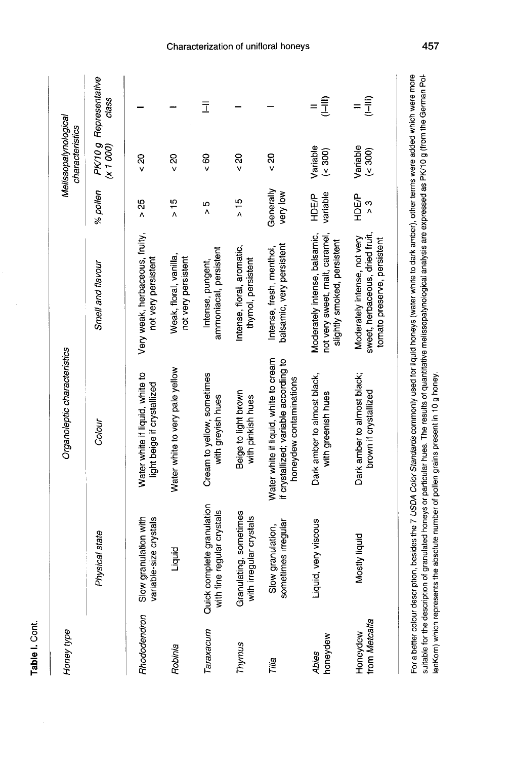| Honey type                |                                                          | Organoleptic characteristics                                                                               |                                                                                                |                       | Melissopalynological<br>characteristics |                                 |
|---------------------------|----------------------------------------------------------|------------------------------------------------------------------------------------------------------------|------------------------------------------------------------------------------------------------|-----------------------|-----------------------------------------|---------------------------------|
|                           | Physical state                                           | Colour                                                                                                     | Smell and flavour                                                                              | % pollen              | (x 1 000)                               | PK/10 g Representative<br>class |
| Rhododendron              | granulation with<br>variable-size crystals<br>Slow       | Water white if liquid, white to<br>light beige if crystallized                                             | Very weak, herbaceous, fruity,<br>not very persistent                                          | $\frac{25}{4}$        | $\frac{20}{5}$                          |                                 |
| Robinia                   | Liquid                                                   | Water white to very pale yellow                                                                            | Weak, floral, vanilla,<br>not very persistent                                                  | $\frac{15}{1}$        | $\frac{20}{5}$                          |                                 |
| araxacum                  | Quick complete granulation<br>with fine regular crystals | Cream to yellow, sometimes<br>with greyish hues                                                            | ammoniacal, persistent<br>Intense, pungent,                                                    | Ю<br>٨                | $\frac{60}{5}$                          | Ī                               |
| Thymus                    | Granulating, sometimes<br>irregular crystals<br>with     | Beige to light brown<br>with pinkish hues                                                                  | Intense, floral, aromatic,<br>thymol, persistent                                               | > 15                  | $\frac{20}{5}$                          |                                 |
| Tilia                     | sometimes irregular<br>Slow granulation,                 | Water white if liquid, white to cream<br>if crystallized; variable according to<br>honeydew contaminations | balsamic, very persistent<br>Intense, fresh, menthol,                                          | Generally<br>very low | $\frac{20}{5}$                          |                                 |
| honeydew<br>Abies         | Liquid, very viscous                                     | Dark amber to almost black,<br>with greenish hues                                                          | Moderately intense, balsamic,<br>not very sweet, malt, caramel,<br>slightly smoked, persistent | variable<br>HDE/P     | Variable<br>(0.300)                     | (III-                           |
| from Metcalfa<br>Honeydew | Mostly liquid                                            | Dark amber to almost black;<br>brown if crystallized                                                       | sweet, herbaceous, dried fruit,<br>Moderately intense, not very<br>tomato preserve, persistent | <b>HDEP</b><br>ς<br>Σ | Variable<br>$($ 300 $)$                 | $(1-11)$<br>$=$                 |
|                           |                                                          |                                                                                                            | المحصر صعران والمنافي المحاولات ومحسن ومستخدمات المحامسة والتحام والتحامي والمحاسبين           |                       |                                         |                                 |

Table I. Cont.

For a better colour description, besides the 7 USDA Color Standards commonly used for liquid honeys (water white to dark amber), other terms were added which were more<br>suitable for the description of granulated honeys or p lenKorn) which represents the absolute number of pollen grains present in 10 g honey.

Characterization of unifloral honeys

457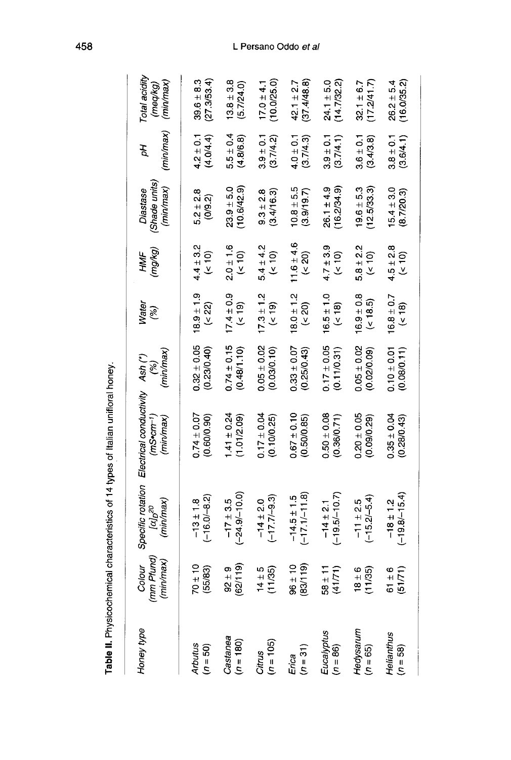| Honey type               | Colour<br>(mm Pfund)<br>(min/max) | Specific rotation<br>(min/max)<br>laj <sub>D</sub> 20 | Electrical conductivity Ash (*)<br>(mS <sub>corr</sub> )<br>(min/max) | (min/max)<br>$\binom{8}{6}$    | Water<br>$\mathscr{E}$           | (mg/kg)<br>HMF                   | (Shade units)<br>(min/max)<br>Diastase | (min/max)<br>Ъp            | Total acidity<br>(min/max)<br>(meq/kg) |
|--------------------------|-----------------------------------|-------------------------------------------------------|-----------------------------------------------------------------------|--------------------------------|----------------------------------|----------------------------------|----------------------------------------|----------------------------|----------------------------------------|
| Arbutus<br>$(n = 50)$    | $70 \pm 10$<br>(55/83)            | $(-16.0 - 8.2)$<br>$-13 \pm 1.8$                      | $0.74 \pm 0.07$<br>(0.60/0.90)                                        | $0.32 \pm 0.05$<br>(0.23/0.40) | $18.9 \pm 1.9$<br>(22)           | $4.4 \pm 3.2$<br>$\frac{1}{2}$   | $5.2 \pm 2.8$<br>(0, 9.2)              | $4.2 \pm 0.1$<br>(4.0/4.4) | (27.3/53.4)<br>$39.6 \pm 8.3$          |
| Castanea<br>(n = 180)    | (62/119)<br>$92 + 9$              | $(-24.9/-10.0)$<br>$-17 \pm 3.5$                      | $1.41 \pm 0.24$<br>(1.01/2.09)                                        | $0.74 \pm 0.15$<br>(0.48/1.10) | $17.4 \pm 0.9$<br>(51)           | $2.0 \pm 1.6$<br>$\frac{10}{5}$  | $23.9 + 5.0$<br>(10.6/42.9)            | $5.5 \pm 0.4$<br>(4.8/6.8) | $13.8 + 3.8$<br>(5.7/24.0)             |
| $Cirtus$<br>$(n = 105)$  | (11/35)<br>$4 \pm 5$              | $(-17.7/-9.3)$<br>$-14 \pm 2.0$                       | $0.17 \pm 0.04$<br>(0.10/0.25)                                        | $0.05 \pm 0.02$<br>(0.03/0.10) | $17.3 \pm 1.2$<br>$($ 19)        | $5.4 \pm 4.2$<br>$\frac{6}{5}$   | (3.4/16.3)<br>$9.3 \pm 2.8$            | $3.9 \pm 0.1$<br>(3.7/4.2) | (10.0/25.0)<br>$17.0 \pm 4.1$          |
| $E$ rica<br>$(n = 31)$   | $\frac{96 \pm 10}{01 \pm 30}$     | $(-17.1/-11.8)$<br>$-14.5 \pm 1.5$                    | $0.67 \pm 0.10$<br>(0.50/0.85)                                        | $0.33 \pm 0.07$<br>(0.25/0.43) | $18.0 \pm 1.2$<br>$($ < 20 $)$   | $11.6 \pm 4.6$<br>$\frac{20}{5}$ | $10.8 \pm 5.5$<br>(3.9/19.7)           | $4.0 \pm 0.1$<br>(3.7/4.3) | (37.4/48.8)<br>$42.1 \pm 2.7$          |
| Eucalyptus<br>(n = 86)   | $58 \pm 11$<br>(41/71)            | $(-19.5/-10.7)$<br>$-14 \pm 2.1$                      | $0.50 \pm 0.08$<br>(0.36/0.71)                                        | $0.17 \pm 0.05$<br>(0.11/0.31) | $16.5 \pm 1.0$<br>$($ 18)        | $4.7 \pm 3.9$<br>$\frac{1}{2}$   | (16.2/34.9)<br>$26.1 \pm 4.9$          | $3.9 \pm 0.1$<br>(3.7/4.1) | (14.7/32.2)<br>$24.1 \pm 5.0$          |
| Hedysarum<br>(n = 65)    | (11/35)<br>$\frac{6}{8}$          | $(-15.2/-5.4)$<br>$-11 \pm 2.5$                       | $0.20 \pm 0.05$<br>(0.090.29)                                         | $0.05 \pm 0.02$<br>(0.020.09)  | $16.9 \pm 0.8$<br>$($ < 18.5 $)$ | $5.8 \pm 2.2$<br>$($ < 10)       | $19.6 \pm 5.3$<br>(12.5/33.3)          | $3.6 \pm 0.1$<br>(3.4/3.8) | (17.2/41.7)<br>$32.1 \pm 6.7$          |
| Helianthus<br>$(n = 58)$ | $61 \pm 6$<br>(51/71)             | $(-19.8/-15.4)$<br>$-18 \pm 1.2$                      | $0.35 \pm 0.04$<br>(0.28/0.43)                                        | $0.10 \pm 0.01$<br>(0.08/0.11) | $16.8 \pm 0.7$<br>(518)          | $4.5 \pm 2.8$<br>(210)           | $15.4 \pm 3.0$<br>(8.7/20.3)           | $3.8 \pm 0.1$<br>(3.6/4.1) | (16.0/35.2)<br>$26.2 \pm 5.4$          |
|                          |                                   |                                                       |                                                                       |                                |                                  |                                  |                                        |                            |                                        |

Table II. Physicochemical characteristics of 14 types of Italian unifloral honey.

# L Persano Oddo et al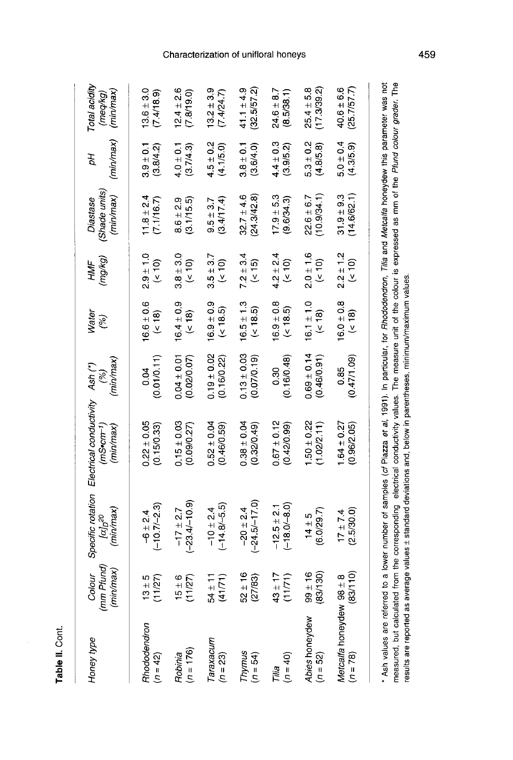| Honey type               | (mm Pfund)<br>(min/max)<br>Colour | (min/max)<br>$[\alpha]_{\scriptstyle \Gamma}{}^{20}$ | Specific rotation Electrical conductivity Ash (*)<br>(min/max)<br>(mS•cm <sup>-1</sup> )                                                                            | (min/max)<br>$\mathcal{E}$     | Water<br>(%)            | (mg/kg)<br>HMF       | (Shade units)<br>(min/max)<br>Diastase | (min/max)<br>Þр            | Total acidity<br>(min/max)<br>(meq/kg) |
|--------------------------|-----------------------------------|------------------------------------------------------|---------------------------------------------------------------------------------------------------------------------------------------------------------------------|--------------------------------|-------------------------|----------------------|----------------------------------------|----------------------------|----------------------------------------|
| Rhododendron             | 11/27                             | $(-10.7/-2.3)$                                       | $0.22 \pm 0.05$                                                                                                                                                     | (0.01/0.11)                    | $16.6 \pm 0.6$          | $2.9 + 1.0$          | $1.8 \pm 2.4$                          | $3.9 \pm 0.1$              | $13.6 \pm 3.0$                         |
| $(n = 42)$               | $13 \pm 5$                        | $-6 \pm 2.4$                                         | (0.15/0.33)                                                                                                                                                         | 0.04                           | $($ ( $\sqrt{8}$        | $($ < 10 $)$         | (7.1/16.7)                             | (3.8/4.2)                  | (7.4/18.9)                             |
| $(n = 176)$              | 11/27                             | $(-23.4/-10.9)$                                      | $0.15 \pm 0.03$                                                                                                                                                     | $0.04 \pm 0.01$                | $16.4 \pm 0.9$          | $3.8 + 3.0$          | (3.1/15.5)                             | (3.7/4.3)                  | $12.4 \pm 2.6$                         |
| Robinia                  | $15 \pm 6$                        | $-17 \pm 2.7$                                        | (0.09/0.27)                                                                                                                                                         | (0.02/0.07)                    | (318)                   | $\frac{10}{5}$       | $8.6 \pm 2.9$                          | $4.0 \pm 0.1$              | (7.8/19.0)                             |
| Taraxacum                | (41/71)                           | $(-14.8 - 5.5)$                                      | $0.52 \pm 0.04$                                                                                                                                                     | $0.19 \pm 0.02$                | $16.9 \pm 0.9$          | $3.5 \pm 3.7$        | (3.4/17.4)                             | $4.5 \pm 0.2$              | $13.2 \pm 3.9$                         |
| $(n = 23)$               | $54 \pm 11$                       | $-10 \pm 2.4$                                        | (0.46/0.59)                                                                                                                                                         | (0.16/0.22)                    | (5.5)                   | (510)                | $9.5 \pm 3.7$                          | (4.1/5.0)                  | (7.4/24.7)                             |
| Thymus<br>$(n = 54)$     | $2 + 16$<br>(27/83)<br>10         | $(-24.5/-17.0)$<br>$-20 \pm 2.4$                     | $0.38 \pm 0.04$<br>(0.32/0.49)                                                                                                                                      | $0.13 \pm 0.03$<br>(0.07/0.19) | $16.5 \pm 1.3$<br>(5.5) | $7.2 \pm 3.4$<br>(5) | (24.3/42.8)<br>$32.7 \pm 4.6$          | $3.8 \pm 0.1$<br>(3.6/4.0) | (32.5/57.2)<br>41.1 ± 4.9              |
| $(n = 40)$               | $3 + 17$                          | $(-18.0/-8.0)$                                       | $0.67 \pm 0.12$                                                                                                                                                     | (0.16/0.48)                    | $16.9 \pm 0.8$          | $4.2 \pm 2.4$        | $17.9 \pm 5.3$                         | $4.4 \pm 0.3$              | $24.6 \pm 8.7$                         |
| Tilia                    | 11/71                             | $-12.5 \pm 2.1$                                      | (0.42/0.99)                                                                                                                                                         | 30                             | $($ < 18.5)             | $($ < 10)            | (9.6/34.3)                             | (3.9/5.2)                  | (8.5/38.1)                             |
| Abies honeydew           | (83/130)                          | (6.0/29.7)                                           | $1.50 \pm 0.22$                                                                                                                                                     | $0.69 \pm 0.14$                | $16.1 \pm 1.0$          | $2.0 \pm 1.6$        | (10.9/34.1)                            | $5.3 \pm 0.2$              | $25.4 \pm 5.8$                         |
| $(n = 52)$               | $99 + 16$                         | $14 \pm 5$                                           | (1.02/2.11)                                                                                                                                                         | (0.46/0.91)                    | (51)                    | (510)                | $22.6 \pm 6.7$                         | (4.8/5.8)                  | (17.3/39.2)                            |
| Metcalfa honeydew 98 ± 8 | (83/110)                          | (2.5/30.0)                                           | $1.64 \pm 0.27$                                                                                                                                                     | (0.47/1.09)                    | $16.0 \pm 0.8$          | $2.2 \pm 1.2$        | (14.6/62.1)                            | $5.0 \pm 0.4$              | (25.7/57.7)                            |
| $(n = 78)$               |                                   | $17 \pm 7.4$                                         | (0.96/2.05)                                                                                                                                                         | 0.85                           | (318)                   | (510)                | $31.9 + 9.3$                           | (4.3/5.9)                  | $40.6 \pm 6.6$                         |
|                          |                                   |                                                      | * Ash values are referred to a lower number of samples (of Piazza et al. 1991). In particular, for Bhododendron, Tilia and Metcalfa honeydew this parameter was not |                                |                         |                      |                                        |                            |                                        |

Table II. Cont.

non values are intrins to a lower number or samples (or razza er al, i sor). In partoual, for a location of the and meteoral introduction practice, may be present the product grader. The<br>measured, but calculated from the c results are reported as average values ± standard deviations and, below in parentheses, minimum/maximum values.

## Characterization of unifloral honeys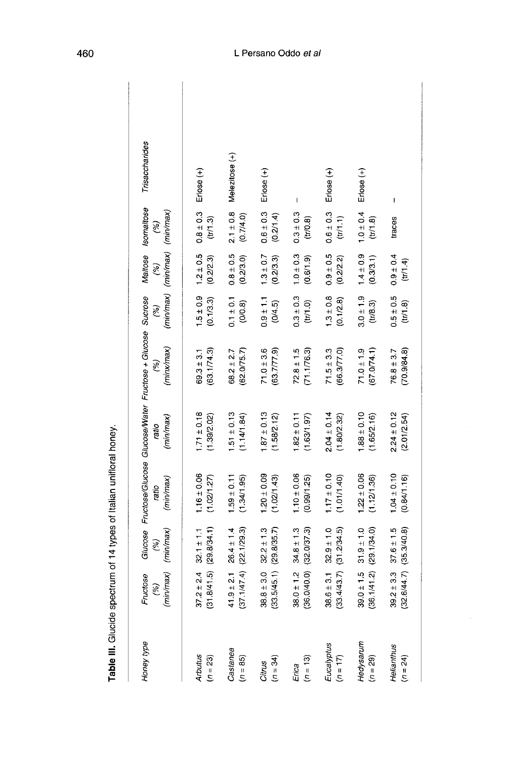| Honey type               | Fructose<br>(%)<br>(min/max) (                           | (mim/max)<br>(5)                                         | (mim/max)<br>ratio             | (min/max)<br>ratio             | Glucose Fructose/Glucose Glucose/Water Fructose + Glucose Sucrose Maltose Isomaltose<br>(minx/max)<br>$\widetilde{\mathscr{E}}$ | $\mathscr{E}$              | (min/max) (min/max) (min/max)<br>$\binom{8}{6}$ | (5)                        | Trisaccharides |
|--------------------------|----------------------------------------------------------|----------------------------------------------------------|--------------------------------|--------------------------------|---------------------------------------------------------------------------------------------------------------------------------|----------------------------|-------------------------------------------------|----------------------------|----------------|
| Arbutus<br>$(n = 23)$    | $37.2 \pm 2.4$ (<br>(31.8/41.5) (                        | (298/34.1)<br>$32.1 \pm 1.1$                             | $1.16 \pm 0.06$<br>(1.02/1.27) | $1.71 \pm 0.18$<br>(1.39/2.02) | (63.1/74.3)<br>$69.3 \pm 3.1$                                                                                                   | $1.5 \pm 0.9$<br>(0.1/3.3) | $1.2 \pm 0.5$<br>(0.2/2.3)                      | $0.8 \pm 0.3$<br>(tr/1.3)  | Erlose (+)     |
| Castanea<br>(n = 85)     |                                                          |                                                          | $1.59 \pm 0.11$<br>(1.34/1.95) | $1.51 \pm 0.13$<br>(1.14/1.84) | (62.075.7)<br>$68.2 \pm 2.7$                                                                                                    | $0.1 \pm 0.1$<br>(0/0.8)   | $0.8 \pm 0.5$<br>(0.2/3.0)                      | $2.1 \pm 0.8$<br>(0.7/4.0) | Melezitose (+) |
| $(n = 34)$<br>Citrus     | $38.8 \pm 3.0$ $32.2 \pm 1.3$<br>(33.5/45.1) (29.8/35.7) |                                                          | $120 \pm 0.09$<br>(1.02/1.43)  | $1.87 \pm 0.13$<br>(1.58/2.12) | $71.0 \pm 3.6$<br>(63.7/77.9)                                                                                                   | $0.9 \pm 1.1$<br>(0/4.5)   | $1.3 \pm 0.7$<br>(0.2/3.3)                      | $0.6 \pm 0.3$<br>(0.2/1.4) | Erlose (+)     |
| $(n = 13)$<br>Erica      | $38.0 \pm 1.2$ :<br>(36.0/40.0) (                        | (32.0/37.3)<br>$34.8 \pm 1.3$                            | $1.10 \pm 0.06$<br>(0.99/1.25) | $1.82 \pm 0.11$<br>(1.63/1.97) | $72.8 \pm 1.5$<br>(71.1/76.3)                                                                                                   | $0.3 \pm 0.3$<br>(t)/10    | $1.0 \pm 0.3$<br>(0.6/1.9)                      | $0.3 \pm 0.3$<br>(tr/0.8)  | I              |
| Eucalyptus<br>$(n = 17)$ | $38.6 \pm 3.1$ $32.9 \pm 1.0$<br>(33.4/43.7)             | (31.2/34.5)                                              | $1.17 \pm 0.10$<br>(1.01/1.40) | $2.04 \pm 0.14$<br>(1.80/2.32) | $71.5 \pm 3.3$<br>(66.377.0)                                                                                                    | $1.3 \pm 0.8$<br>(0.1/2.8) | $0.9 \pm 0.5$<br>(02/22)                        | $0.6 \pm 0.3$<br>(tr/1.1)  | Erlose (+)     |
| Hedysarum<br>(n = 29)    | $39.0 \pm 1.5$ $31.9 \pm 1.0$<br>(36.1/41.2) (29.1/34.0) |                                                          | $1.22 \pm 0.06$<br>(1.12/1.36) | $1.88 \pm 0.10$<br>(1.65/2.16) | (67.074.1)<br>$71.0 \pm 1.9$                                                                                                    | $3.0 \pm 1.9$<br>(11/8.3)  | $1.4 \pm 0.9$<br>(0.3/3.1)                      | $1.0 \pm 0.4$<br>(1.8)     | Erlose (+)     |
| Helianthus<br>$(n = 24)$ |                                                          | $39.2 \pm 3.3$ $37.6 \pm 1.5$<br>(32.6/44.7) (35.3/40.8) | $1.04 \pm 0.10$<br>(0.84/1.16) | $2.24 \pm 0.12$<br>(2.01/2.54) | (70.9/84.8)<br>$76.8 \pm 3.7$                                                                                                   | $0.5 \pm 0.5$<br>(tr/1.8)  | $0.9 \pm 0.4$<br>(tr/1.4)                       | traces                     | I              |

Table III. Glucide spectrum of 14 types of Italian unifloral honey.

# L Persano Oddo et al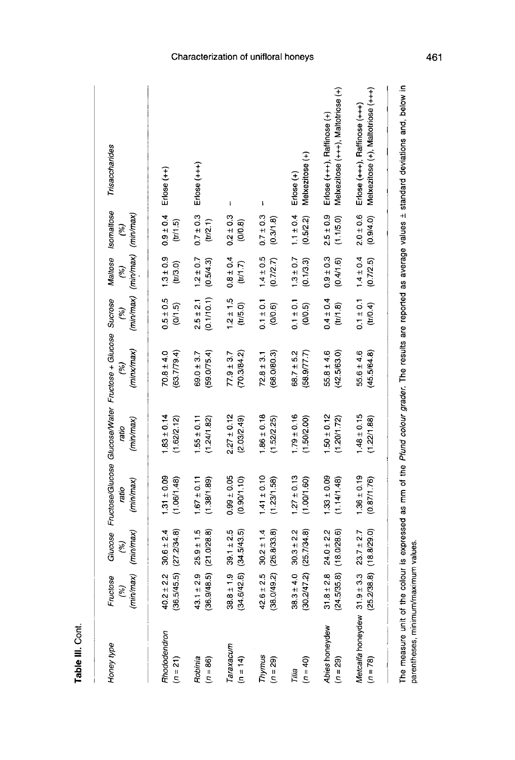| Honey type                                                      | (min/max)<br>Fructose<br>$\widetilde{\mathcal{C}}$ | (min/max)<br>(%)              | Giucose Fructose/Giucose Giucose/Water Fructose + Giucose Sucrose<br>(min/max)<br>ratio | (min/max)<br>ratio            | (minx/max)<br>(%)             | $\binom{8}{2}$           | (min/max) (min/max) (min/max)<br>Maltose<br>(%) | Isomaltose<br>(%)          | Trisaccharides                                                                                                                       |
|-----------------------------------------------------------------|----------------------------------------------------|-------------------------------|-----------------------------------------------------------------------------------------|-------------------------------|-------------------------------|--------------------------|-------------------------------------------------|----------------------------|--------------------------------------------------------------------------------------------------------------------------------------|
| Rhododendron                                                    | $40.2 \pm 2.2$                                     | $30.6 \pm 2.4$                | $1.31 \pm 0.09$                                                                         | $1.83 \pm 0.14$               | $70.8 \pm 4.0$                | $0.5 \pm 0.5$            | $1.3 \pm 0.9$                                   | $0.9 + 0.4$                | $E$ rlose $(++)$                                                                                                                     |
| $(n = 21)$                                                      | (36.5/45.5)                                        | (27.2/34.8)                   | (1.06/1.48)                                                                             | (1.62/2.12)                   | (63.7/79.4)                   | (0/1.5)                  | (11/3.0)                                        | (m/1.5)                    |                                                                                                                                      |
| Robinia                                                         | (36.9/48.5)                                        | (21.0/28.8)                   | $1.67 \pm 0.11$                                                                         | $1.55 \pm 0.11$               | (59.075.4)                    | (0.1/10.1)               | $1.2 \pm 0.7$                                   | $0.7 \pm 0.3$              | $E$ rlose $(+++)$                                                                                                                    |
| $(n = 86)$                                                      | $43.1 \pm 2.9$                                     | $25.9 \pm 1.5$                | (1.38/1.89)                                                                             | (1.24/1.82)                   | $69.0 \pm 3.7$                | $2.5 \pm 2.1$            | (0.5/4.3)                                       | (tr(2.1)                   |                                                                                                                                      |
| Taraxacum                                                       | (34.6/42.6)                                        | $39.1 \pm 2.5$                | $0.99 \pm 0.05$                                                                         | $2.27 \pm 0.12$               | (70.3/84.2)                   | $1.2 \pm 1.5$            | $0.8 \pm 0.4$                                   | $0.2 \pm 0.3$              | $\overline{1}$                                                                                                                       |
| $(n = 14)$                                                      | $38.8 \pm 1.9$                                     | (34.5/43.5)                   | (0.90/1.10)                                                                             | (2.03/2.49)                   | $77.9 \pm 3.7$                | (11/5.0)                 | (t11.7)                                         | (0.0.8)                    |                                                                                                                                      |
| Thymus                                                          | $42.6 \pm 2.5$                                     | (26.8/33.8)                   | $1.41 \pm 0.10$                                                                         | $1.86 \pm 0.18$               | (68.0/80.3)                   | $0.1 \pm 0.1$            | $1.4 \pm 0.5$                                   | $0.7 \pm 0.3$              | $\mathbf{I}$                                                                                                                         |
| $(n = 29)$                                                      | (38.0/49.2)                                        | $30.2 \pm 1.4$                | (1.23/1.58)                                                                             | (1.52/2.25)                   | $72.8 \pm 3.1$                | (0/0.6)                  | (0.7/2.7)                                       | (0.3/1.8)                  |                                                                                                                                      |
| $(n = 40)$<br>Tilia                                             | ± 4.0<br>(30.2/47.2)<br>38.3                       | (25.7/34.8)<br>$30.3 \pm 2.2$ | $1.27 \pm 0.13$<br>(100/1.60)                                                           | $179 \pm 0.16$<br>(1.50/2.00) | (58.9/77.7)<br>$68.7 \pm 5.2$ | $0.1 \pm 0.1$<br>(0/0.5) | $1.3 \pm 0.7$<br>(0.1/3.3)                      | $1.1 \pm 0.4$<br>(0.5/2.2) | Melxezitose (+)<br>Erlose (+)                                                                                                        |
| Abies honeydew                                                  | $31.8 \pm 2.8$                                     | $24.0 \pm 2.2$                | $1.33 \pm 0.09$                                                                         | $1.50 \pm 0.12$               | (42.5/63.0)                   | $0.4 \pm 0.4$            | $0.9 \pm 0.3$                                   | $2.5 \pm 0.9$              | Melxezitose (+++), Maltotriose (+)                                                                                                   |
| $(n = 29)$                                                      | (24.5/35.8)                                        | (18.0/28.6)                   | (114/148)                                                                               | (1.20/1.72)                   | $55.8 \pm 4.6$                | (t)/1.8                  | (0.4/1.6)                                       | (1.1/5.0)                  | Erlose (+++), Raffinose (+)                                                                                                          |
| Metcalfa honeydew 31.9 ± 3.3                                    | (25.2/38.8)                                        | (18.8/29.0)                   | $1.36 \pm 0.19$                                                                         | $1.48 \pm 0.15$               | $55.6 \pm 4.6$                | $0.1 \pm 0.1$            | $1.4 \pm 0.4$                                   | $2.0 \pm 0.6$              | Melxezitose (+), Maltotriose (+++)                                                                                                   |
| $(n = 78)$                                                      |                                                    | $23.7 \pm 2.7$                | (0.87/1.76)                                                                             | (1.22/1.88)                   | (45.5/64.8)                   | (tr/0.4)                 | (0.7/2.5)                                       | (0.9/4.0)                  | $E$ rlose $(+++)$ , Raffinose $(++)$                                                                                                 |
| parentheses, minimum/maximum values.<br>The measure unit of the |                                                    |                               |                                                                                         |                               |                               |                          |                                                 |                            | colour is expressed as mm of the Pfund colour grader. The results are reported as average values ± standard deviations and, below in |

Table III. Cont.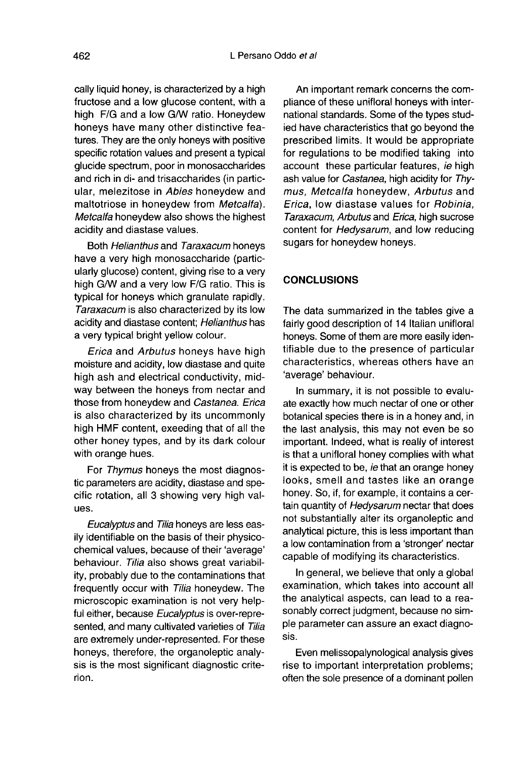cally liquid honey, is characterized by a high fructose and a low glucose content, with a high F/G and a low G/W ratio. Honeydew honeys have many other distinctive features. They are the only honeys with positive specific rotation values and present a typical glucide spectrum, poor in monosaccharides and rich in di- and trisaccharides (in particular, melezitose in Abies honeydew and maltotriose in honeydew from Metcalfa). Metcalfa honeydew also shows the highest acidity and diastase values.

Both Helianthus and Taraxacum honeys have a very high monosaccharide (particularly glucose) content, giving rise to a very high G/W and a very low F/G ratio. This is typical for honeys which granulate rapidly. Taraxacum is also characterized by its low acidity and diastase content; Helianthus has a very typical bright yellow colour.

Erica and Arbutus honeys have high moisture and acidity, low diastase and quite high ash and electrical conductivity, midway between the honeys from nectar and those from honeydew and Castanea. Erica is also characterized by its uncommonly high HMF content, exeeding that of all the other honey types, and by its dark colour with orange hues.

For Thymus honeys the most diagnostic parameters are acidity, diastase and specific rotation, all 3 showing very high values.

Eucalyptus and Tilia honeys are less easily identifiable on the basis of their physicochemical values, because of their 'average' behaviour. Tilia also shows great variability, probably due to the contaminations that frequently occur with Tilia honeydew. The microscopic examination is not very helpful either, because Eucalyptus is over-represented, and many cultivated varieties of Tilia are extremely under-represented. For these honeys, therefore, the organoleptic analysis is the most significant diagnostic criterion.

An important remark concerns the compliance of these unifloral honeys with international standards. Some of the types studied have characteristics that go beyond the prescribed limits. It would be appropriate for regulations to be modified taking into account these particular features, ie high ash value for Castanea, high acidity for Thymus, Metcalfa honeydew, Arbutus and Erica, low diastase values for Robinia, Taraxacum, Arbutus and Erica, high sucrose content for Hedysarum, and low reducing sugars for honeydew honeys.

# **CONCLUSIONS**

The data summarized in the tables give a fairly good description of 14 Italian unifloral honeys. Some of them are more easily identifiable due to the presence of particular characteristics, whereas others have an 'average' behaviour.

In summary, it is not possible to evaluate exactly how much nectar of one or other botanical species there is in a honey and, in the last analysis, this may not even be so important. Indeed, what is really of interest is that a unifloral honey complies with what it is expected to be, ie that an orange honey looks, smell and tastes like an orange honey. So, if, for example, it contains a certain quantity of Hedysarum nectar that does not substantially alter its organoleptic and analytical picture, this is less important than a low contamination from a 'stronger' nectar capable of modifying its characteristics.

In general, we believe that only a global examination, which takes into account all the analytical aspects, can lead to a reasonably correct judgment, because no simple parameter can assure an exact diagnosis.

Even melissopalynological analysis gives rise to important interpretation problems; often the sole presence of a dominant pollen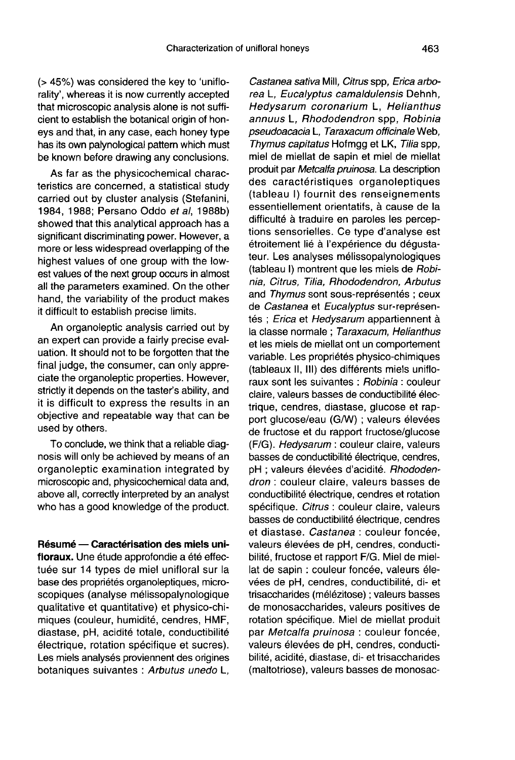(> 45%) was considered the key to 'uniflorality', whereas it is now currently accepted that microscopic analysis alone is not sufficient to establish the botanical origin of honeys and that, in any case, each honey type has its own palynological pattern which must be known before drawing any conclusions.

As far as the physicochemical characteristics are concerned, a statistical study carried out by cluster analysis (Stefanini, 1984, 1988; Persano Oddo et al, 1988b) showed that this analytical approach has a significant discriminating power. However, a more or less widespread overlapping of the highest values of one group with the lowest values of the next group occurs in almost all the parameters examined. On the other hand, the variability of the product makes it difficult to establish precise limits.

An organoleptic analysis carried out by an expert can provide a fairly precise evaluation. It should not to be forgotten that the final judge, the consumer, can only appreciate the organoleptic properties. However, strictly it depends on the taster's ability, and it is difficult to express the results in an objective and repeatable way that can be used by others.

To conclude, we think that a reliable diagnosis will only be achieved by means of an organoleptic examination integrated by microscopic and, physicochemical data and, above all, correctly interpreted by an analyst who has a good knowledge of the product.

Résumé — Caractérisation des miels unifloraux. Une étude approfondie a été effectuée sur 14 types de miel unifloral sur la base des propriétés organoleptiques, microscopiques (analyse mélissopalynologique qualitative et quantitative) et physico-chimiques (couleur, humidité, cendres, HMF, diastase, pH, acidité totale, conductibilité électrique, rotation spécifique et sucres). Les miels analysés proviennent des origines botaniques suivantes : Arbutus unedo L,

Castanea sativa Mill, Citrus spp, Erica arborea L, Eucalyptus camaldulensis Dehnh, Hedysarum coronarium L, Helianthus annuus L. Rhododendron spp. Robinia pseudoacacia L, Taraxacum officinale Web, Thymus capitatus Hofmgg et LK, Tilia spp, miel de miellat de sapin et miel de miellat produit par Metcalfa pruinosa. La description des caractéristiques organoleptiques (tableau I) fournit des renseignements essentiellement orientatifs, à cause de la difficulté à traduire en paroles les perceptions sensorielles. Ce type d'analyse est étroitement lié à l'expérience du dégustateur. Les analyses mélissopalynologiques (tableau I) montrent que les miels de Robinia, Citrus, Tilia, Rhododendron, Arbutus and Thymus sont sous-représentés ; ceux de Castanea et Eucalyptus sur-représentés ; Erica et Hedysarum appartiennent à la classe normale ; Taraxacum, Helianthus et les miels de miellat ont un comportement variable. Les propriétés physico-chimiques (tableaux II, III) des différents miels unifloraux sont les suivantes : Robinia : couleur claire, valeurs basses de conductibilité électrique, cendres, diastase, glucose et rapport glucose/eau (G/W) ; valeurs élevées de fructose et du rapport fructose/glucose (F/G). Hedysarum : couleur claire, valeurs basses de conductibilité électrique, cendres, pH ; valeurs élevées d'acidité. Rhododendron : couleur claire, valeurs basses de conductibilité électrique, cendres et rotation spécifique. Citrus : couleur claire, valeurs basses de conductibilité électrique, cendres et diastase. Castanea : couleur foncée, valeurs élevées de pH, cendres, conductibilité, fructose et rapport F/G. Miel de miellat de sapin : couleur foncée, valeurs élevées de pH, cendres, conductibilité, di- et trisaccharides (mélézitose) ; valeurs basses de monosaccharides, valeurs positives de rotation spécifique. Miel de miellat produit par Metcalfa pruinosa : couleur foncée, valeurs élevées de pH, cendres, conductibilité, acidité, diastase, di- et trisaccharides (maltotriose), valeurs basses de monosac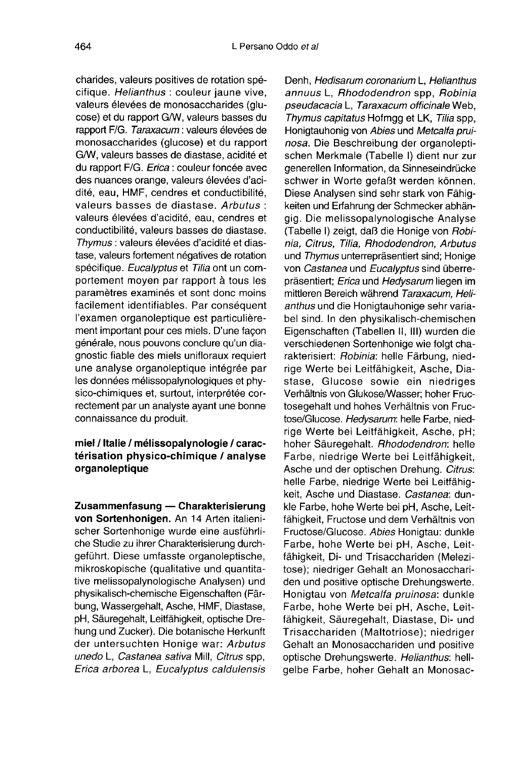charides, valeurs positives de rotation spécifique. Helianthus : couleur jaune vive, valeurs élevées de monosaccharides (glucose) et du rapport G/W, valeurs basses du rapport F/G. Taraxacum : valeurs élevées de monosaccharides (glucose) et du rapport G/W, valeurs basses de diastase, acidité et du rapport F/G. Erica : couleur foncée avec des nuances orange, valeurs élevées d'acidité, eau, HMF, cendres et conductibilité, valeurs basses de diastase. Arbutus : valeurs élevées d'acidité, eau, cendres et conductibilité, valeurs basses de diastase. Thymus : valeurs élevées d'acidité et diastase, valeurs fortement négatives de rotation spécifique. Eucalyptus et Tilia ont un comportement moyen par rapport à tous les paramètres examinés et sont donc moins facilement identifiables. Par conséquent l'examen organoleptique est particulièrement important pour ces miels. D'une façon générale, nous pouvons conclure qu'un diagnostic fiable des miels unifloraux requiert une analyse organoleptique intégrée par les données mélissopalynologiques et physico-chimiques et, surtout, interprétée correctement par un analyste ayant une bonne connaissance du produit.

# miel / Italie / mélissopalynologie / caractérisation physico-chimique / analyse organoleptique

Zusammenfasung — Charakterisierung von Sortenhonigen. An 14 Arten italienischer Sortenhonige wurde eine ausführliche Studie zu ihrer Charakterisierung durchgeführt. Diese umfasste organoleptische, mikroskopische (qualitative und quantitative melissopalynologische Analysen) und physikalisch-chemische Eigenschaften (Färbung, Wassergehalt, Asche, HMF, Diastase, pH, Säuregehalt, Leitfähigkeit, optische Drehung und Zucker). Die botanische Herkunft der untersuchten Honige war: Arbutus unedo L, Castanea sativa Mill, Citrus spp, Erica arborea L, Eucalyptus caldulensis

Denh, Hedisarum coronarium L, Helianthus annuus L, Rhododendron spp, Robinia pseudacacia L, Taraxacum officinale Web, Thymus capitatus Hofmgg et LK, Tilia spp, Honigtauhonig von Abies und Metcalfa prui nosa. Die Beschreibung der organoleptischen Merkmale (Tabelle I) dient nur zur generellen Information, da Sinneseindrücke schwer in Worte gefaßt werden können. Diese Analysen sind sehr stark von Fähigkeiten und Erfahrung der Schmecker abhängig. Die melissopalynologische Analyse (Tabelle I) zeigt, daß die Honige von Robinia, Citrus, Tilia, Rhododendron, Arbutus und Thymus unterrepräsentiert sind; Honige von Castanea und Eucalyptus sind überrepräsentiert; Erica und Hedysarum liegen im mittleren Bereich während Taraxacum, Helianthus und die Honigtauhonige sehr variabel sind. In den physikalisch-chemischen Eigenschaften (Tabellen II, III) wurden die verschiedenen Sortenhonige wie folgt charakterisiert: Robinia: helle Färbung, niedrige Werte bei Leitfähigkeit, Asche, Diastase, Glucose sowie ein niedriges Verhältnis von Glukose/Wasser; hoher Fructosegehalt und hohes Verhältnis von Fructose/Glucose. Hedysarum: helle Farbe, niedrige Werte bei Leitfähigkeit, Asche, pH; hoher Säuregehalt. Rhododendron: helle Farbe, niedrige Werte bei Leitfähigkeit, Asche und der optischen Drehung. Citrus: helle Farbe, niedrige Werte bei Leitfähigkeit, Asche und Diastase. Castanea: dunkle Farbe, hohe Werte bei pH, Asche, Leitfähigkeit, Fructose und dem Verhältnis von Fructose/Glucose. Abies Honigtau: dunkle Farbe, hohe Werte bei pH, Asche, Leitfähigkeit, Di- und Trisacchariden (Melezitose); niedriger Gehalt an Monosacchariden und positive optische Drehungswerte. Honigtau von Metcalfa pruinosa: dunkle Farbe, hohe Werte bei pH, Asche, Leitfähigkeit, Säuregehalt, Diastase, Di- und Trisacchariden (Maltotriose); niedriger Gehalt an Monosacchariden und positive optische Drehungswerte. Helianthus: hellgelbe Farbe, hoher Gehalt an Monosac